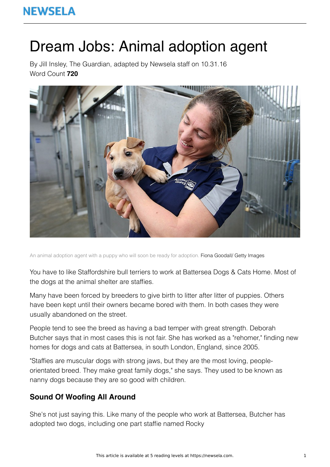# Dream Jobs: Animal adoption agent

By Jill Insley, The Guardian, adapted by Newsela staff on 10.31.16 Word Count **720**



An animal adoption agent with a puppy who will soon be ready for adoption. Fiona Goodall/ Getty Images

You have to like Staffordshire bull terriers to work at Battersea Dogs & Cats Home. Most of the dogs at the animal shelter are staffies.

Many have been forced by breeders to give birth to litter after litter of puppies. Others have been kept until their owners became bored with them. In both cases they were usually abandoned on the street.

People tend to see the breed as having a bad temper with great strength. Deborah Butcher says that in most cases this is not fair. She has worked as a "rehomer," finding new homes for dogs and cats at Battersea, in south London, England, since 2005.

"Staffies are muscular dogs with strong jaws, but they are the most loving, peopleorientated breed. They make great family dogs," she says. They used to be known as nanny dogs because they are so good with children.

### **Sound Of Woofing All Around**

She's not just saying this. Like many of the people who work at Battersea, Butcher has adopted two dogs, including one part staffie named Rocky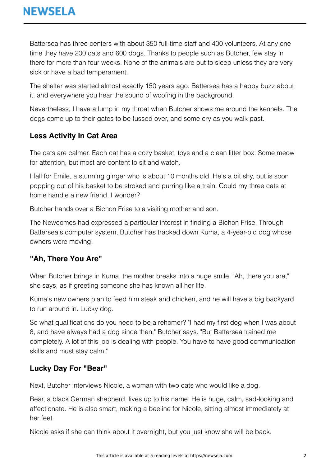Battersea has three centers with about 350 full-time staff and 400 volunteers. At any one time they have 200 cats and 600 dogs. Thanks to people such as Butcher, few stay in there for more than four weeks. None of the animals are put to sleep unless they are very sick or have a bad temperament.

The shelter was started almost exactly 150 years ago. Battersea has a happy buzz about it, and everywhere you hear the sound of woofing in the background.

Nevertheless, I have a lump in my throat when Butcher shows me around the kennels. The dogs come up to their gates to be fussed over, and some cry as you walk past.

## **Less Activity In Cat Area**

The cats are calmer. Each cat has a cozy basket, toys and a clean litter box. Some meow for attention, but most are content to sit and watch.

I fall for Emile, a stunning ginger who is about 10 months old. He's a bit shy, but is soon popping out of his basket to be stroked and purring like a train. Could my three cats at home handle a new friend, I wonder?

Butcher hands over a Bichon Frise to a visiting mother and son.

The Newcomes had expressed a particular interest in finding a Bichon Frise. Through Battersea's computer system, Butcher has tracked down Kuma, a 4-year-old dog whose owners were moving.

#### **"Ah, There You Are"**

When Butcher brings in Kuma, the mother breaks into a huge smile. "Ah, there you are," she says, as if greeting someone she has known all her life.

Kuma's new owners plan to feed him steak and chicken, and he will have a big backyard to run around in. Lucky dog.

So what qualifications do you need to be a rehomer? "I had my first dog when I was about 8, and have always had a dog since then," Butcher says. "But Battersea trained me completely. A lot of this job is dealing with people. You have to have good communication skills and must stay calm."

#### **Lucky Day For "Bear"**

Next, Butcher interviews Nicole, a woman with two cats who would like a dog.

Bear, a black German shepherd, lives up to his name. He is huge, calm, sad-looking and affectionate. He is also smart, making a beeline for Nicole, sitting almost immediately at her feet.

Nicole asks if she can think about it overnight, but you just know she will be back.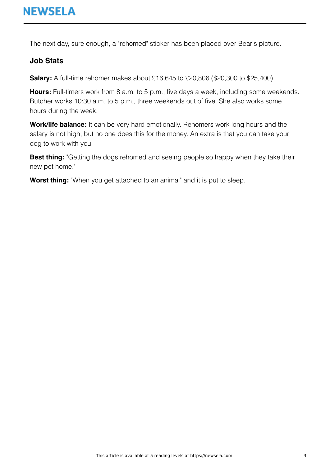The next day, sure enough, a "rehomed" sticker has been placed over Bear's picture.

#### **Job Stats**

**Salary:** A full-time rehomer makes about £16,645 to £20,806 (\$20,300 to \$25,400).

**Hours:** Full-timers work from 8 a.m. to 5 p.m., five days a week, including some weekends. Butcher works 10:30 a.m. to 5 p.m., three weekends out of five. She also works some hours during the week.

**Work/life balance:** It can be very hard emotionally. Rehomers work long hours and the salary is not high, but no one does this for the money. An extra is that you can take your dog to work with you.

**Best thing:** "Getting the dogs rehomed and seeing people so happy when they take their new pet home."

**Worst thing:** "When you get attached to an animal" and it is put to sleep.